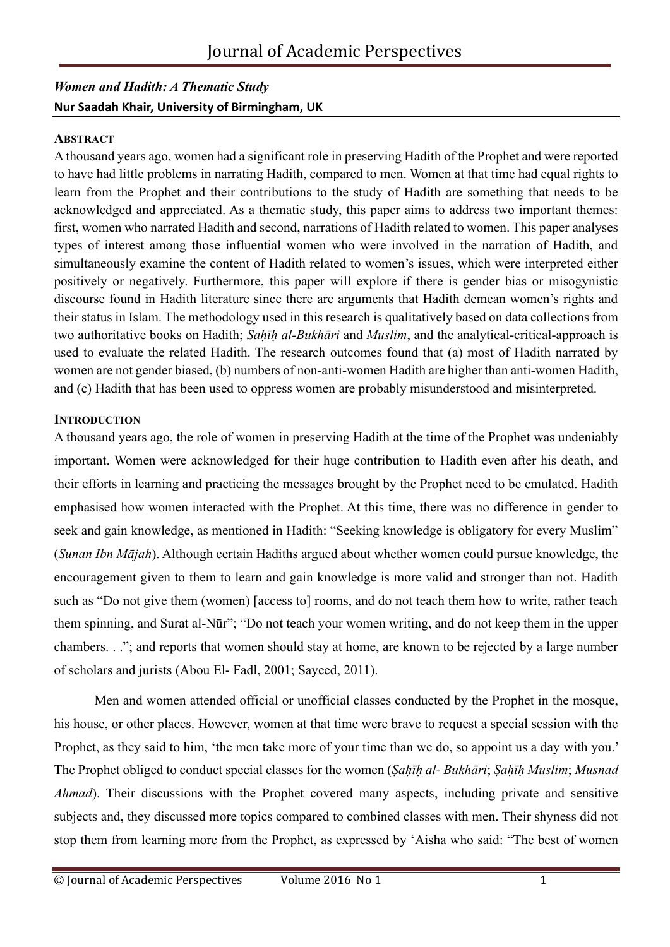### *Women and Hadith: A Thematic Study* **Nur Saadah Khair, University of Birmingham, UK**

### **ABSTRACT**

A thousand years ago, women had a significant role in preserving Hadith of the Prophet and were reported to have had little problems in narrating Hadith, compared to men. Women at that time had equal rights to learn from the Prophet and their contributions to the study of Hadith are something that needs to be acknowledged and appreciated. As a thematic study, this paper aims to address two important themes: first, women who narrated Hadith and second, narrations of Hadith related to women. This paper analyses types of interest among those influential women who were involved in the narration of Hadith, and simultaneously examine the content of Hadith related to women's issues, which were interpreted either positively or negatively. Furthermore, this paper will explore if there is gender bias or misogynistic discourse found in Hadith literature since there are arguments that Hadith demean women's rights and their status in Islam. The methodology used in this research is qualitatively based on data collections from two authoritative books on Hadith; *Saḥīḥ al-Bukhāri* and *Muslim*, and the analytical-critical-approach is used to evaluate the related Hadith. The research outcomes found that (a) most of Hadith narrated by women are not gender biased, (b) numbers of non-anti-women Hadith are higher than anti-women Hadith, and (c) Hadith that has been used to oppress women are probably misunderstood and misinterpreted.

#### **INTRODUCTION**

A thousand years ago, the role of women in preserving Hadith at the time of the Prophet was undeniably important. Women were acknowledged for their huge contribution to Hadith even after his death, and their efforts in learning and practicing the messages brought by the Prophet need to be emulated. Hadith emphasised how women interacted with the Prophet. At this time, there was no difference in gender to seek and gain knowledge, as mentioned in Hadith: "Seeking knowledge is obligatory for every Muslim" (*Sunan Ibn Mājah*). Although certain Hadiths argued about whether women could pursue knowledge, the encouragement given to them to learn and gain knowledge is more valid and stronger than not. Hadith such as "Do not give them (women) [access to] rooms, and do not teach them how to write, rather teach them spinning, and Surat al-Nūr"; "Do not teach your women writing, and do not keep them in the upper chambers. . ."; and reports that women should stay at home, are known to be rejected by a large number of scholars and jurists (Abou El- Fadl, 2001; Sayeed, 2011).

Men and women attended official or unofficial classes conducted by the Prophet in the mosque, his house, or other places. However, women at that time were brave to request a special session with the Prophet, as they said to him, 'the men take more of your time than we do, so appoint us a day with you.' The Prophet obliged to conduct special classes for the women (*Ṣaḥīḥ al- Bukhāri*; *Ṣaḥīḥ Muslim*; *Musnad Ahmad*). Their discussions with the Prophet covered many aspects, including private and sensitive subjects and, they discussed more topics compared to combined classes with men. Their shyness did not stop them from learning more from the Prophet, as expressed by 'Aisha who said: "The best of women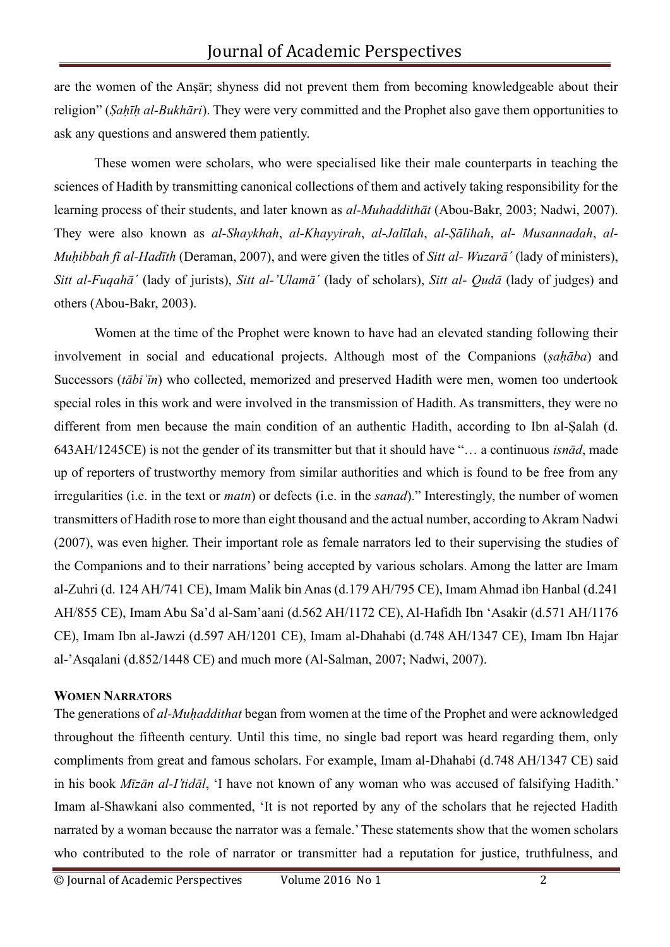are the women of the Anṣār; shyness did not prevent them from becoming knowledgeable about their religion" (*Ṣaḥīḥ al-Bukhāri*). They were very committed and the Prophet also gave them opportunities to ask any questions and answered them patiently.

These women were scholars, who were specialised like their male counterparts in teaching the sciences of Hadith by transmitting canonical collections of them and actively taking responsibility for the learning process of their students, and later known as *al-Muhaddithāt* (Abou-Bakr, 2003; Nadwi, 2007). They were also known as *al-Shaykhah*, *al-Khayyirah*, *al-Jalīlah*, *al-Ṣālihah*, *al- Musannadah*, *al-Muḥibbah fī al-Hadīth* (Deraman, 2007), and were given the titles of *Sitt al- Wuzarāˊ* (lady of ministers), *Sitt al-Fuqahāˊ* (lady of jurists), *Sitt al-'Ulamāˊ* (lady of scholars), *Sitt al- Qudā* (lady of judges) and others (Abou-Bakr, 2003).

Women at the time of the Prophet were known to have had an elevated standing following their involvement in social and educational projects. Although most of the Companions (*sahāba*) and Successors (*tābiʾīn*) who collected, memorized and preserved Hadith were men, women too undertook special roles in this work and were involved in the transmission of Hadith. As transmitters, they were no different from men because the main condition of an authentic Hadith, according to Ibn al-Salah (d. 643AH/1245CE) is not the gender of its transmitter but that it should have "… a continuous *isnād*, made up of reporters of trustworthy memory from similar authorities and which is found to be free from any irregularities (i.e. in the text or *matn*) or defects (i.e. in the *sanad*)." Interestingly, the number of women transmitters of Hadith rose to more than eight thousand and the actual number, according to Akram Nadwi (2007), was even higher. Their important role as female narrators led to their supervising the studies of the Companions and to their narrations' being accepted by various scholars. Among the latter are Imam al-Zuhri (d. 124 AH/741 CE), Imam Malik bin Anas (d.179 AH/795 CE), Imam Ahmad ibn Hanbal (d.241 AH/855 CE), Imam Abu Sa'd al-Sam'aani (d.562 AH/1172 CE), Al-Hafidh Ibn 'Asakir (d.571 AH/1176 CE), Imam Ibn al-Jawzi (d.597 AH/1201 CE), Imam al-Dhahabi (d.748 AH/1347 CE), Imam Ibn Hajar al-'Asqalani (d.852/1448 CE) and much more (Al-Salman, 2007; Nadwi, 2007).

#### **WOMEN NARRATORS**

The generations of *al-Muḥaddithat* began from women at the time of the Prophet and were acknowledged throughout the fifteenth century. Until this time, no single bad report was heard regarding them, only compliments from great and famous scholars. For example, Imam al-Dhahabi (d.748 AH/1347 CE) said in his book *Mīzān al-I'tidāl*, 'I have not known of any woman who was accused of falsifying Hadith.' Imam al-Shawkani also commented, 'It is not reported by any of the scholars that he rejected Hadith narrated by a woman because the narrator was a female.' These statements show that the women scholars who contributed to the role of narrator or transmitter had a reputation for justice, truthfulness, and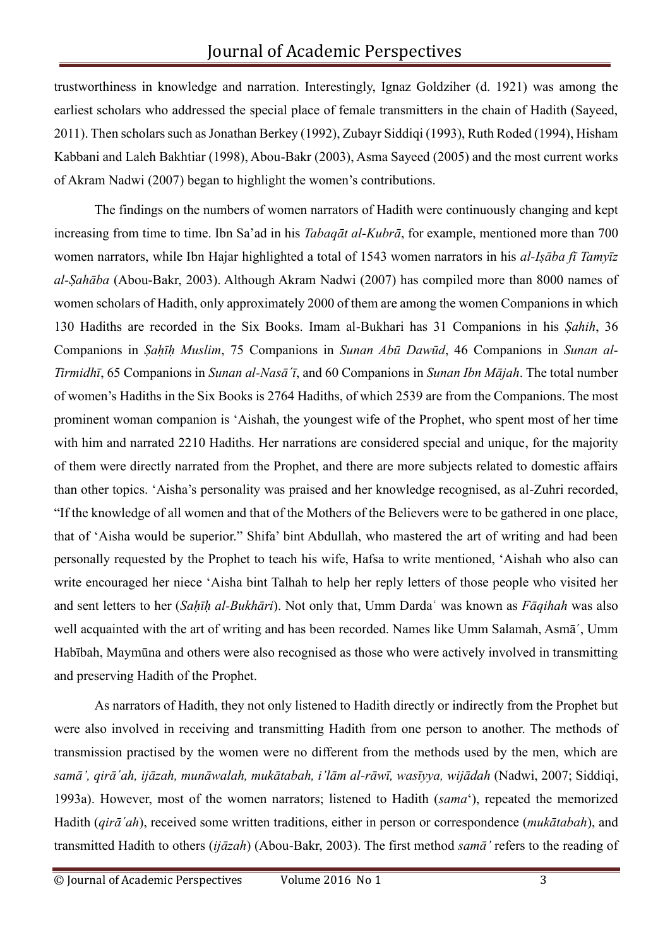trustworthiness in knowledge and narration. Interestingly, Ignaz Goldziher (d. 1921) was among the earliest scholars who addressed the special place of female transmitters in the chain of Hadith (Sayeed, 2011). Then scholars such as Jonathan Berkey (1992), Zubayr Siddiqi (1993), Ruth Roded (1994), Hisham Kabbani and Laleh Bakhtiar (1998), Abou-Bakr (2003), Asma Sayeed (2005) and the most current works of Akram Nadwi (2007) began to highlight the women's contributions.

The findings on the numbers of women narrators of Hadith were continuously changing and kept increasing from time to time. Ibn Sa'ad in his *Tabaqāt al-Kubrā*, for example, mentioned more than 700 women narrators, while Ibn Hajar highlighted a total of 1543 women narrators in his *al-Iṣāba fī Tamyīz al-Ṣahāba* (Abou-Bakr, 2003). Although Akram Nadwi (2007) has compiled more than 8000 names of women scholars of Hadith, only approximately 2000 of them are among the women Companions in which 130 Hadiths are recorded in the Six Books. Imam al-Bukhari has 31 Companions in his *Ṣahih*, 36 Companions in *Ṣaḥīḥ Muslim*, 75 Companions in *Sunan Abū Dawūd*, 46 Companions in *Sunan al-Tirmidhī*, 65 Companions in *Sunan al-Nasāˊī*, and 60 Companions in *Sunan Ibn Mājah*. The total number of women's Hadiths in the Six Books is 2764 Hadiths, of which 2539 are from the Companions. The most prominent woman companion is 'Aishah, the youngest wife of the Prophet, who spent most of her time with him and narrated 2210 Hadiths. Her narrations are considered special and unique, for the majority of them were directly narrated from the Prophet, and there are more subjects related to domestic affairs than other topics. 'Aisha's personality was praised and her knowledge recognised, as al-Zuhri recorded, "If the knowledge of all women and that of the Mothers of the Believers were to be gathered in one place, that of 'Aisha would be superior." Shifa' bint Abdullah, who mastered the art of writing and had been personally requested by the Prophet to teach his wife, Hafsa to write mentioned, 'Aishah who also can write encouraged her niece 'Aisha bint Talhah to help her reply letters of those people who visited her and sent letters to her (*Saḥīḥ al-Bukhāri*). Not only that, Umm Dardaʿ was known as *Fāqihah* was also well acquainted with the art of writing and has been recorded. Names like Umm Salamah, Asmāˊ, Umm Habībah, Maymūna and others were also recognised as those who were actively involved in transmitting and preserving Hadith of the Prophet.

As narrators of Hadith, they not only listened to Hadith directly or indirectly from the Prophet but were also involved in receiving and transmitting Hadith from one person to another. The methods of transmission practised by the women were no different from the methods used by the men, which are *samā', qirāˊah, ijāzah, munāwalah, mukātabah, i'lām al-rāwī, wasīyya, wijādah* (Nadwi, 2007; Siddiqi, 1993a). However, most of the women narrators; listened to Hadith (*sama*'), repeated the memorized Hadith (*qirāˊah*), received some written traditions, either in person or correspondence (*mukātabah*), and transmitted Hadith to others (*ijāzah*) (Abou-Bakr, 2003). The first method *samā'* refers to the reading of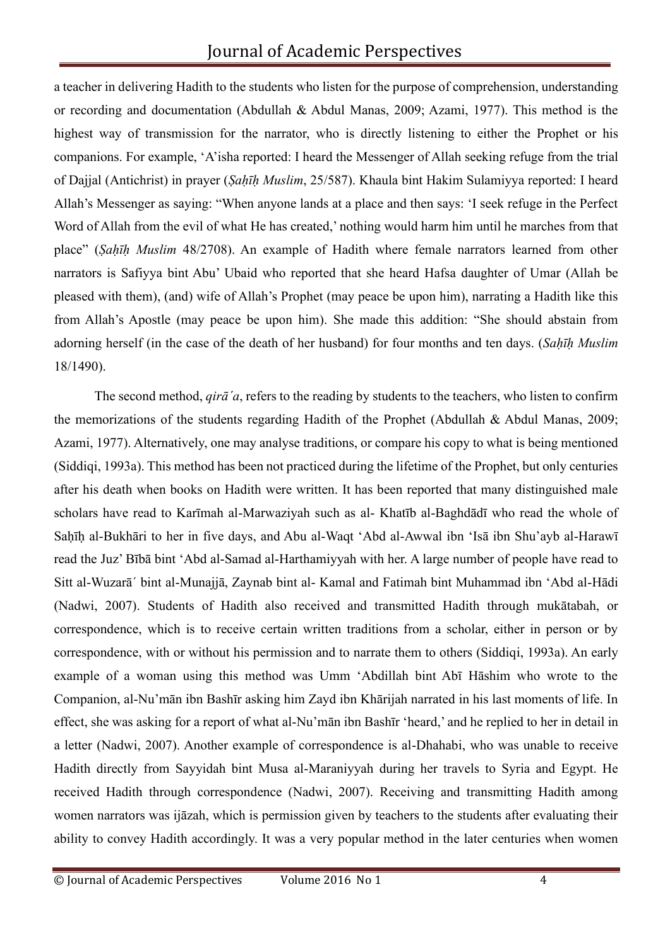# Journal of Academic Perspectives

a teacher in delivering Hadith to the students who listen for the purpose of comprehension, understanding or recording and documentation (Abdullah & Abdul Manas, 2009; Azami, 1977). This method is the highest way of transmission for the narrator, who is directly listening to either the Prophet or his companions. For example, 'A'isha reported: I heard the Messenger of Allah seeking refuge from the trial of Dajjal (Antichrist) in prayer (*Ṣaḥīḥ Muslim*, 25/587). Khaula bint Hakim Sulamiyya reported: I heard Allah's Messenger as saying: "When anyone lands at a place and then says: 'I seek refuge in the Perfect Word of Allah from the evil of what He has created,' nothing would harm him until he marches from that place" (*Ṣaḥīḥ Muslim* 48/2708). An example of Hadith where female narrators learned from other narrators is Safiyya bint Abu' Ubaid who reported that she heard Hafsa daughter of Umar (Allah be pleased with them), (and) wife of Allah's Prophet (may peace be upon him), narrating a Hadith like this from Allah's Apostle (may peace be upon him). She made this addition: "She should abstain from adorning herself (in the case of the death of her husband) for four months and ten days. (*Saḥīḥ Muslim* 18/1490).

The second method, *qirāˊa*, refers to the reading by students to the teachers, who listen to confirm the memorizations of the students regarding Hadith of the Prophet (Abdullah & Abdul Manas, 2009; Azami, 1977). Alternatively, one may analyse traditions, or compare his copy to what is being mentioned (Siddiqi, 1993a). This method has been not practiced during the lifetime of the Prophet, but only centuries after his death when books on Hadith were written. It has been reported that many distinguished male scholars have read to Karīmah al-Marwaziyah such as al- Khatīb al-Baghdādī who read the whole of Sahīh al-Bukhāri to her in five days, and Abu al-Waqt 'Abd al-Awwal ibn 'Isā ibn Shu'ayb al-Harawī read the Juz' Bībā bint 'Abd al-Samad al-Harthamiyyah with her. A large number of people have read to Sitt al-Wuzarāˊ bint al-Munajjā, Zaynab bint al- Kamal and Fatimah bint Muhammad ibn 'Abd al-Hādi (Nadwi, 2007). Students of Hadith also received and transmitted Hadith through mukātabah, or correspondence, which is to receive certain written traditions from a scholar, either in person or by correspondence, with or without his permission and to narrate them to others (Siddiqi, 1993a). An early example of a woman using this method was Umm 'Abdillah bint Abī Hāshim who wrote to the Companion, al-Nu'mān ibn Bashīr asking him Zayd ibn Khārijah narrated in his last moments of life. In effect, she was asking for a report of what al-Nu'mān ibn Bashīr 'heard,' and he replied to her in detail in a letter (Nadwi, 2007). Another example of correspondence is al-Dhahabi, who was unable to receive Hadith directly from Sayyidah bint Musa al-Maraniyyah during her travels to Syria and Egypt. He received Hadith through correspondence (Nadwi, 2007). Receiving and transmitting Hadith among women narrators was ijāzah, which is permission given by teachers to the students after evaluating their ability to convey Hadith accordingly. It was a very popular method in the later centuries when women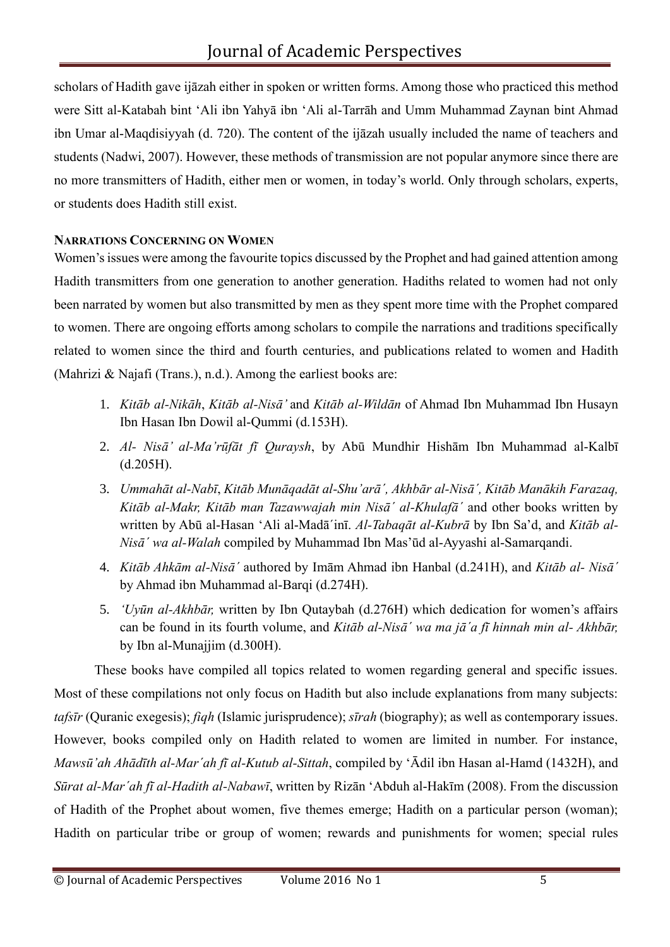scholars of Hadith gave ijāzah either in spoken or written forms. Among those who practiced this method were Sitt al-Katabah bint 'Ali ibn Yahyā ibn 'Ali al-Tarrāh and Umm Muhammad Zaynan bint Ahmad ibn Umar al-Maqdisiyyah (d. 720). The content of the ijāzah usually included the name of teachers and students (Nadwi, 2007). However, these methods of transmission are not popular anymore since there are no more transmitters of Hadith, either men or women, in today's world. Only through scholars, experts, or students does Hadith still exist.

### **NARRATIONS CONCERNING ON WOMEN**

Women's issues were among the favourite topics discussed by the Prophet and had gained attention among Hadith transmitters from one generation to another generation. Hadiths related to women had not only been narrated by women but also transmitted by men as they spent more time with the Prophet compared to women. There are ongoing efforts among scholars to compile the narrations and traditions specifically related to women since the third and fourth centuries, and publications related to women and Hadith (Mahrizi & Najafi (Trans.), n.d.). Among the earliest books are:

- 1. *Kitāb al-Nikāh*, *Kitāb al-Nisā'* and *Kitāb al-Wildān* of Ahmad Ibn Muhammad Ibn Husayn Ibn Hasan Ibn Dowil al-Qummi (d.153H).
- 2. *Al- Nisā' al-Ma'rūfāt fī Quraysh*, by Abū Mundhir Hishām Ibn Muhammad al-Kalbī (d.205H).
- 3. *Ummahāt al-Nabī*, *Kitāb Munāqadāt al-Shu'arāˊ, Akhbār al-Nisāˊ, Kitāb Manākih Farazaq, Kitāb al-Makr, Kitāb man Tazawwajah min Nisāˊ al-Khulafāˊ* and other books written by written by Abū al-Hasan 'Ali al-Madāˊinī. *Al-Tabaqāt al-Kubrā* by Ibn Sa'd, and *Kitāb al-Nisāˊ wa al-Walah* compiled by Muhammad Ibn Mas'ūd al-Ayyashi al-Samarqandi.
- 4. *Kitāb Ahkām al-Nisāˊ* authored by Imām Ahmad ibn Hanbal (d.241H), and *Kitāb al- Nisāˊ*  by Ahmad ibn Muhammad al-Barqi (d.274H).
- 5. *'Uyūn al-Akhbār,* written by Ibn Qutaybah (d.276H) which dedication for women's affairs can be found in its fourth volume, and *Kitāb al-Nisāˊ wa ma jāˊa fī hinnah min al- Akhbār,*  by Ibn al-Munajjim (d.300H).

These books have compiled all topics related to women regarding general and specific issues. Most of these compilations not only focus on Hadith but also include explanations from many subjects: *tafsīr* (Quranic exegesis); *fiqh* (Islamic jurisprudence); *sīrah* (biography); as well as contemporary issues. However, books compiled only on Hadith related to women are limited in number. For instance, *Mawsū'ah Ahādīth al-Marˊah fī al-Kutub al-Sittah*, compiled by 'Ādil ibn Hasan al-Hamd (1432H), and *Sūrat al-Marˊah fī al-Hadith al-Nabawī*, written by Rizān 'Abduh al-Hakīm (2008). From the discussion of Hadith of the Prophet about women, five themes emerge; Hadith on a particular person (woman); Hadith on particular tribe or group of women; rewards and punishments for women; special rules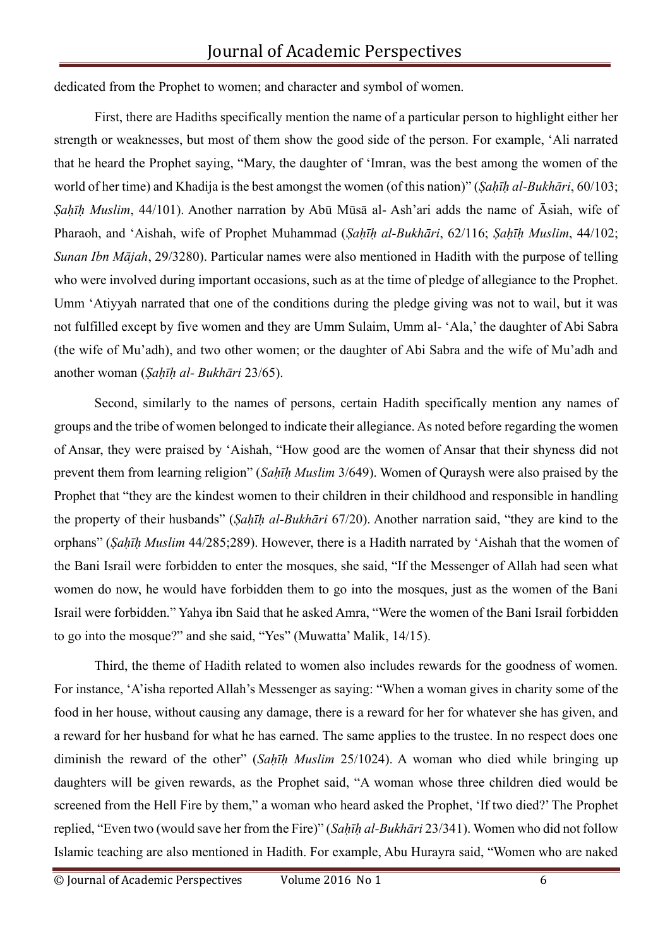dedicated from the Prophet to women; and character and symbol of women.

First, there are Hadiths specifically mention the name of a particular person to highlight either her strength or weaknesses, but most of them show the good side of the person. For example, 'Ali narrated that he heard the Prophet saying, "Mary, the daughter of 'Imran, was the best among the women of the world of her time) and Khadija is the best amongst the women (of this nation)" (*Sahīh al-Bukhāri*, 60/103; *Ṣaḥīḥ Muslim*, 44/101). Another narration by Abū Mūsā al- Ash'ari adds the name of Āsiah, wife of Pharaoh, and 'Aishah, wife of Prophet Muhammad (*Ṣaḥīḥ al-Bukhāri*, 62/116; *Ṣaḥīḥ Muslim*, 44/102; *Sunan Ibn Mājah*, 29/3280). Particular names were also mentioned in Hadith with the purpose of telling who were involved during important occasions, such as at the time of pledge of allegiance to the Prophet. Umm 'Atiyyah narrated that one of the conditions during the pledge giving was not to wail, but it was not fulfilled except by five women and they are Umm Sulaim, Umm al- 'Ala,' the daughter of Abi Sabra (the wife of Mu'adh), and two other women; or the daughter of Abi Sabra and the wife of Mu'adh and another woman (*Ṣaḥīḥ al- Bukhāri* 23/65).

Second, similarly to the names of persons, certain Hadith specifically mention any names of groups and the tribe of women belonged to indicate their allegiance. As noted before regarding the women of Ansar, they were praised by 'Aishah, "How good are the women of Ansar that their shyness did not prevent them from learning religion" (*Saḥīḥ Muslim* 3/649). Women of Quraysh were also praised by the Prophet that "they are the kindest women to their children in their childhood and responsible in handling the property of their husbands" (*Ṣaḥīḥ al-Bukhāri* 67/20). Another narration said, "they are kind to the orphans" (*Ṣaḥīḥ Muslim* 44/285;289). However, there is a Hadith narrated by 'Aishah that the women of the Bani Israil were forbidden to enter the mosques, she said, "If the Messenger of Allah had seen what women do now, he would have forbidden them to go into the mosques, just as the women of the Bani Israil were forbidden." Yahya ibn Said that he asked Amra, "Were the women of the Bani Israil forbidden to go into the mosque?" and she said, "Yes" (Muwatta' Malik, 14/15).

Third, the theme of Hadith related to women also includes rewards for the goodness of women. For instance, 'A'isha reported Allah's Messenger as saying: "When a woman gives in charity some of the food in her house, without causing any damage, there is a reward for her for whatever she has given, and a reward for her husband for what he has earned. The same applies to the trustee. In no respect does one diminish the reward of the other" (*Saḥīḥ Muslim* 25/1024). A woman who died while bringing up daughters will be given rewards, as the Prophet said, "A woman whose three children died would be screened from the Hell Fire by them," a woman who heard asked the Prophet, 'If two died?' The Prophet replied, "Even two (would save her from the Fire)" (*Saḥīḥ al-Bukhāri* 23/341). Women who did not follow Islamic teaching are also mentioned in Hadith. For example, Abu Hurayra said, "Women who are naked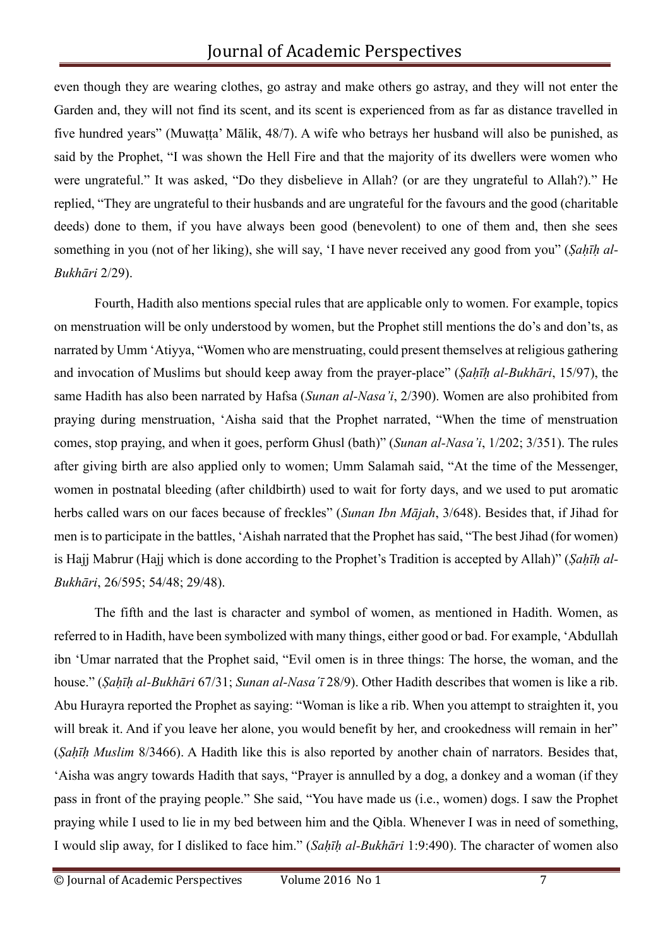even though they are wearing clothes, go astray and make others go astray, and they will not enter the Garden and, they will not find its scent, and its scent is experienced from as far as distance travelled in five hundred years" (Muwaṭṭa' Mālik, 48/7). A wife who betrays her husband will also be punished, as said by the Prophet, "I was shown the Hell Fire and that the majority of its dwellers were women who were ungrateful." It was asked, "Do they disbelieve in Allah? (or are they ungrateful to Allah?)." He replied, "They are ungrateful to their husbands and are ungrateful for the favours and the good (charitable deeds) done to them, if you have always been good (benevolent) to one of them and, then she sees something in you (not of her liking), she will say, 'I have never received any good from you" (*Ṣaḥīḥ al-Bukhāri* 2/29).

Fourth, Hadith also mentions special rules that are applicable only to women. For example, topics on menstruation will be only understood by women, but the Prophet still mentions the do's and don'ts, as narrated by Umm 'Atiyya, "Women who are menstruating, could present themselves at religious gathering and invocation of Muslims but should keep away from the prayer-place" (*Ṣaḥīḥ al-Bukhāri*, 15/97), the same Hadith has also been narrated by Hafsa (*Sunan al-Nasa'i*, 2/390). Women are also prohibited from praying during menstruation, 'Aisha said that the Prophet narrated, "When the time of menstruation comes, stop praying, and when it goes, perform Ghusl (bath)" (*Sunan al-Nasa'i*, 1/202; 3/351). The rules after giving birth are also applied only to women; Umm Salamah said, "At the time of the Messenger, women in postnatal bleeding (after childbirth) used to wait for forty days, and we used to put aromatic herbs called wars on our faces because of freckles" (*Sunan Ibn Mājah*, 3/648). Besides that, if Jihad for men is to participate in the battles, 'Aishah narrated that the Prophet has said, "The best Jihad (for women) is Hajj Mabrur (Hajj which is done according to the Prophet's Tradition is accepted by Allah)" (*Şaḥīḥ al-Bukhāri*, 26/595; 54/48; 29/48).

The fifth and the last is character and symbol of women, as mentioned in Hadith. Women, as referred to in Hadith, have been symbolized with many things, either good or bad. For example, 'Abdullah ibn 'Umar narrated that the Prophet said, "Evil omen is in three things: The horse, the woman, and the house." (*Ṣaḥīḥ al-Bukhāri* 67/31; *Sunan al-Nasaˊī* 28/9). Other Hadith describes that women is like a rib. Abu Hurayra reported the Prophet as saying: "Woman is like a rib. When you attempt to straighten it, you will break it. And if you leave her alone, you would benefit by her, and crookedness will remain in her" (*Ṣaḥīḥ Muslim* 8/3466). A Hadith like this is also reported by another chain of narrators. Besides that, 'Aisha was angry towards Hadith that says, "Prayer is annulled by a dog, a donkey and a woman (if they pass in front of the praying people." She said, "You have made us (i.e., women) dogs. I saw the Prophet praying while I used to lie in my bed between him and the Qibla. Whenever I was in need of something, I would slip away, for I disliked to face him." (*Saḥīḥ al-Bukhāri* 1:9:490). The character of women also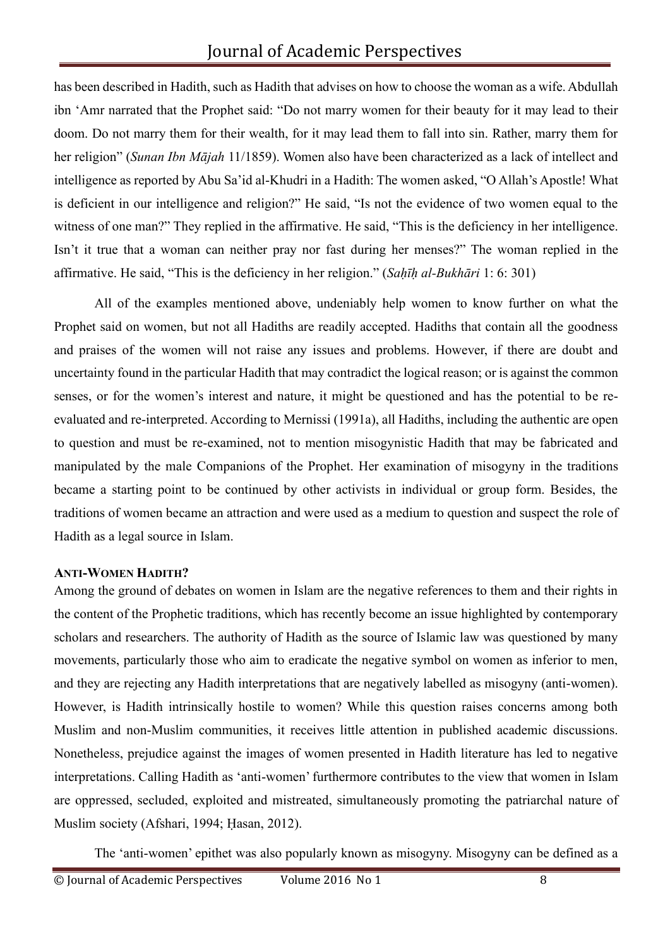has been described in Hadith, such as Hadith that advises on how to choose the woman as a wife. Abdullah ibn 'Amr narrated that the Prophet said: "Do not marry women for their beauty for it may lead to their doom. Do not marry them for their wealth, for it may lead them to fall into sin. Rather, marry them for her religion" (*Sunan Ibn Mājah* 11/1859). Women also have been characterized as a lack of intellect and intelligence as reported by Abu Sa'id al-Khudri in a Hadith: The women asked, "O Allah's Apostle! What is deficient in our intelligence and religion?" He said, "Is not the evidence of two women equal to the witness of one man?" They replied in the affirmative. He said, "This is the deficiency in her intelligence. Isn't it true that a woman can neither pray nor fast during her menses?" The woman replied in the affirmative. He said, "This is the deficiency in her religion." (*Saḥīḥ al-Bukhāri* 1: 6: 301)

All of the examples mentioned above, undeniably help women to know further on what the Prophet said on women, but not all Hadiths are readily accepted. Hadiths that contain all the goodness and praises of the women will not raise any issues and problems. However, if there are doubt and uncertainty found in the particular Hadith that may contradict the logical reason; or is against the common senses, or for the women's interest and nature, it might be questioned and has the potential to be reevaluated and re-interpreted. According to Mernissi (1991a), all Hadiths, including the authentic are open to question and must be re-examined, not to mention misogynistic Hadith that may be fabricated and manipulated by the male Companions of the Prophet. Her examination of misogyny in the traditions became a starting point to be continued by other activists in individual or group form. Besides, the traditions of women became an attraction and were used as a medium to question and suspect the role of Hadith as a legal source in Islam.

#### **ANTI-WOMEN HADITH?**

Among the ground of debates on women in Islam are the negative references to them and their rights in the content of the Prophetic traditions, which has recently become an issue highlighted by contemporary scholars and researchers. The authority of Hadith as the source of Islamic law was questioned by many movements, particularly those who aim to eradicate the negative symbol on women as inferior to men, and they are rejecting any Hadith interpretations that are negatively labelled as misogyny (anti-women). However, is Hadith intrinsically hostile to women? While this question raises concerns among both Muslim and non-Muslim communities, it receives little attention in published academic discussions. Nonetheless, prejudice against the images of women presented in Hadith literature has led to negative interpretations. Calling Hadith as 'anti-women' furthermore contributes to the view that women in Islam are oppressed, secluded, exploited and mistreated, simultaneously promoting the patriarchal nature of Muslim society (Afshari, 1994; Ḥasan, 2012).

The 'anti-women' epithet was also popularly known as misogyny. Misogyny can be defined as a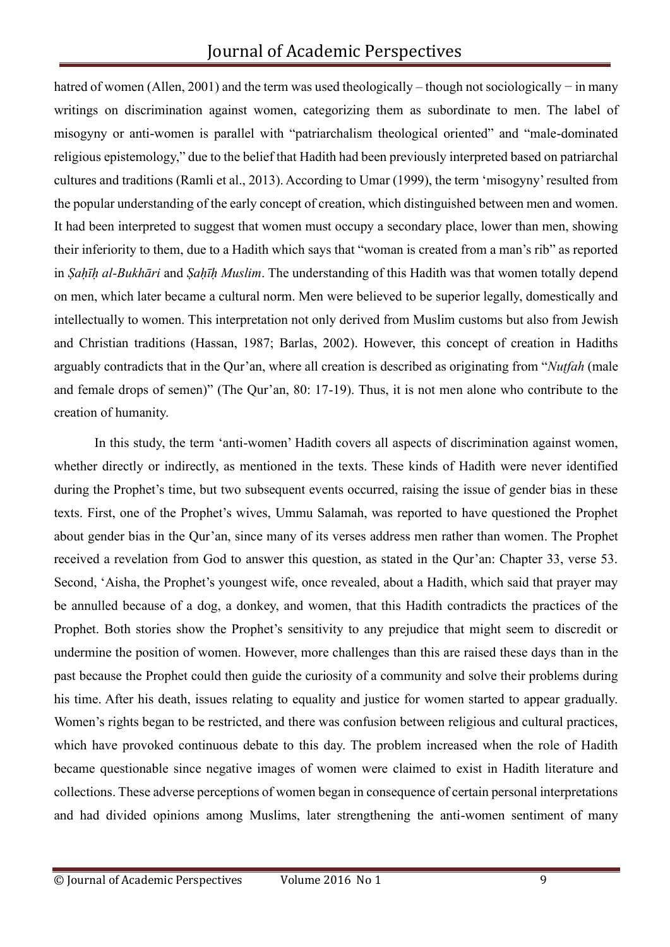# Journal of Academic Perspectives

hatred of women (Allen, 2001) and the term was used theologically – though not sociologically – in many writings on discrimination against women, categorizing them as subordinate to men. The label of misogyny or anti-women is parallel with "patriarchalism theological oriented" and "male-dominated religious epistemology," due to the belief that Hadith had been previously interpreted based on patriarchal cultures and traditions (Ramli et al., 2013). According to Umar (1999), the term 'misogyny' resulted from the popular understanding of the early concept of creation, which distinguished between men and women. It had been interpreted to suggest that women must occupy a secondary place, lower than men, showing their inferiority to them, due to a Hadith which says that "woman is created from a man's rib" as reported in *Ṣaḥīḥ al-Bukhāri* and *Ṣaḥīḥ Muslim*. The understanding of this Hadith was that women totally depend on men, which later became a cultural norm. Men were believed to be superior legally, domestically and intellectually to women. This interpretation not only derived from Muslim customs but also from Jewish and Christian traditions (Hassan, 1987; Barlas, 2002). However, this concept of creation in Hadiths arguably contradicts that in the Qur'an, where all creation is described as originating from "*Nuṭfah* (male and female drops of semen)" (The Qur'an, 80: 17-19). Thus, it is not men alone who contribute to the creation of humanity.

In this study, the term 'anti-women' Hadith covers all aspects of discrimination against women, whether directly or indirectly, as mentioned in the texts. These kinds of Hadith were never identified during the Prophet's time, but two subsequent events occurred, raising the issue of gender bias in these texts. First, one of the Prophet's wives, Ummu Salamah, was reported to have questioned the Prophet about gender bias in the Qur'an, since many of its verses address men rather than women. The Prophet received a revelation from God to answer this question, as stated in the Qur'an: Chapter 33, verse 53. Second, 'Aisha, the Prophet's youngest wife, once revealed, about a Hadith, which said that prayer may be annulled because of a dog, a donkey, and women, that this Hadith contradicts the practices of the Prophet. Both stories show the Prophet's sensitivity to any prejudice that might seem to discredit or undermine the position of women. However, more challenges than this are raised these days than in the past because the Prophet could then guide the curiosity of a community and solve their problems during his time. After his death, issues relating to equality and justice for women started to appear gradually. Women's rights began to be restricted, and there was confusion between religious and cultural practices, which have provoked continuous debate to this day. The problem increased when the role of Hadith became questionable since negative images of women were claimed to exist in Hadith literature and collections. These adverse perceptions of women began in consequence of certain personal interpretations and had divided opinions among Muslims, later strengthening the anti-women sentiment of many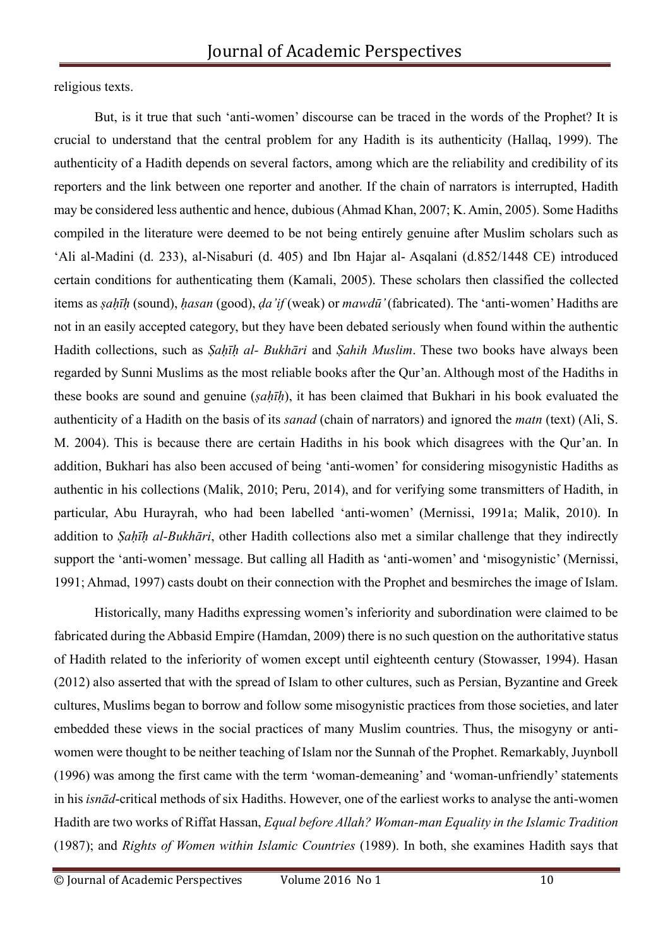religious texts.

But, is it true that such 'anti-women' discourse can be traced in the words of the Prophet? It is crucial to understand that the central problem for any Hadith is its authenticity (Hallaq, 1999). The authenticity of a Hadith depends on several factors, among which are the reliability and credibility of its reporters and the link between one reporter and another. If the chain of narrators is interrupted, Hadith may be considered less authentic and hence, dubious (Ahmad Khan, 2007; K. Amin, 2005). Some Hadiths compiled in the literature were deemed to be not being entirely genuine after Muslim scholars such as 'Ali al-Madini (d. 233), al-Nisaburi (d. 405) and Ibn Hajar al- Asqalani (d.852/1448 CE) introduced certain conditions for authenticating them (Kamali, 2005). These scholars then classified the collected items as *ṣaḥīḥ* (sound), *ḥasan* (good), *ḍa'if* (weak) or *mawdū'*(fabricated). The 'anti-women' Hadiths are not in an easily accepted category, but they have been debated seriously when found within the authentic Hadith collections, such as *Ṣaḥīḥ al- Bukhāri* and *Ṣahih Muslim*. These two books have always been regarded by Sunni Muslims as the most reliable books after the Qur'an. Although most of the Hadiths in these books are sound and genuine (*ṣaḥīḥ*), it has been claimed that Bukhari in his book evaluated the authenticity of a Hadith on the basis of its *sanad* (chain of narrators) and ignored the *matn* (text) (Ali, S. M. 2004). This is because there are certain Hadiths in his book which disagrees with the Qur'an. In addition, Bukhari has also been accused of being 'anti-women' for considering misogynistic Hadiths as authentic in his collections (Malik, 2010; Peru, 2014), and for verifying some transmitters of Hadith, in particular, Abu Hurayrah, who had been labelled 'anti-women' (Mernissi, 1991a; Malik, 2010). In addition to *Ṣaḥīḥ al-Bukhāri*, other Hadith collections also met a similar challenge that they indirectly support the 'anti-women' message. But calling all Hadith as 'anti-women' and 'misogynistic' (Mernissi, 1991; Ahmad, 1997) casts doubt on their connection with the Prophet and besmirches the image of Islam.

Historically, many Hadiths expressing women's inferiority and subordination were claimed to be fabricated during the Abbasid Empire (Hamdan, 2009) there is no such question on the authoritative status of Hadith related to the inferiority of women except until eighteenth century (Stowasser, 1994). Hasan (2012) also asserted that with the spread of Islam to other cultures, such as Persian, Byzantine and Greek cultures, Muslims began to borrow and follow some misogynistic practices from those societies, and later embedded these views in the social practices of many Muslim countries. Thus, the misogyny or antiwomen were thought to be neither teaching of Islam nor the Sunnah of the Prophet. Remarkably, Juynboll (1996) was among the first came with the term 'woman-demeaning' and 'woman-unfriendly' statements in his *isnād*-critical methods of six Hadiths. However, one of the earliest works to analyse the anti-women Hadith are two works of Riffat Hassan, *Equal before Allah? Woman-man Equality in the Islamic Tradition*  (1987); and *Rights of Women within Islamic Countries* (1989). In both, she examines Hadith says that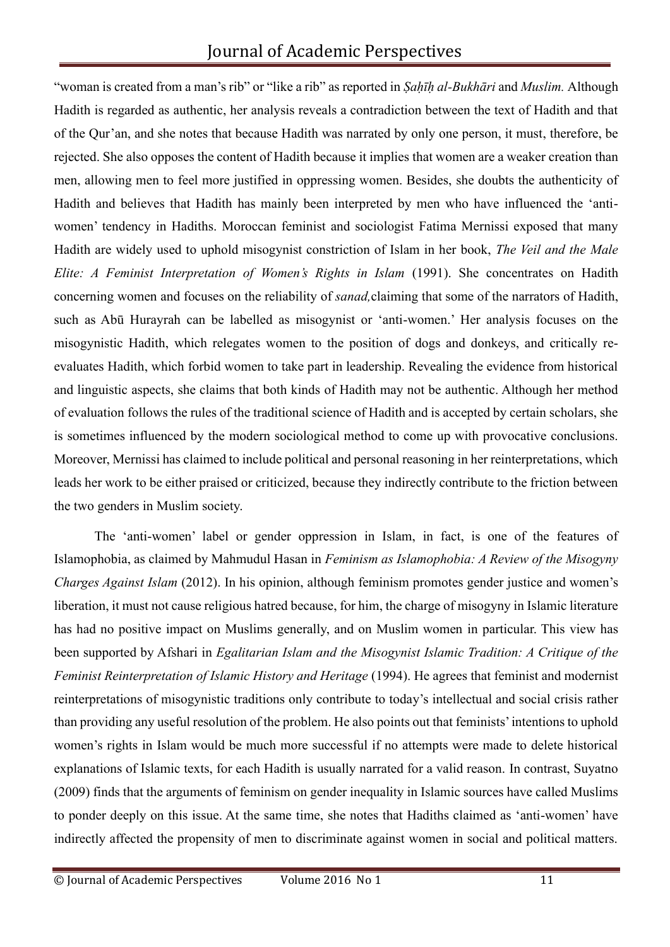"woman is created from a man's rib" or "like a rib" as reported in *Ṣaḥīḥ al-Bukhāri* and *Muslim.* Although Hadith is regarded as authentic, her analysis reveals a contradiction between the text of Hadith and that of the Qur'an, and she notes that because Hadith was narrated by only one person, it must, therefore, be rejected. She also opposes the content of Hadith because it implies that women are a weaker creation than men, allowing men to feel more justified in oppressing women. Besides, she doubts the authenticity of Hadith and believes that Hadith has mainly been interpreted by men who have influenced the 'antiwomen' tendency in Hadiths. Moroccan feminist and sociologist Fatima Mernissi exposed that many Hadith are widely used to uphold misogynist constriction of Islam in her book, *The Veil and the Male Elite: A Feminist Interpretation of Women's Rights in Islam* (1991). She concentrates on Hadith concerning women and focuses on the reliability of *sanad,*claiming that some of the narrators of Hadith, such as Abū Hurayrah can be labelled as misogynist or 'anti-women.' Her analysis focuses on the misogynistic Hadith, which relegates women to the position of dogs and donkeys, and critically reevaluates Hadith, which forbid women to take part in leadership. Revealing the evidence from historical and linguistic aspects, she claims that both kinds of Hadith may not be authentic. Although her method of evaluation follows the rules of the traditional science of Hadith and is accepted by certain scholars, she is sometimes influenced by the modern sociological method to come up with provocative conclusions. Moreover, Mernissi has claimed to include political and personal reasoning in her reinterpretations, which leads her work to be either praised or criticized, because they indirectly contribute to the friction between the two genders in Muslim society.

The 'anti-women' label or gender oppression in Islam, in fact, is one of the features of Islamophobia, as claimed by Mahmudul Hasan in *Feminism as Islamophobia: A Review of the Misogyny Charges Against Islam* (2012). In his opinion, although feminism promotes gender justice and women's liberation, it must not cause religious hatred because, for him, the charge of misogyny in Islamic literature has had no positive impact on Muslims generally, and on Muslim women in particular. This view has been supported by Afshari in *Egalitarian Islam and the Misogynist Islamic Tradition: A Critique of the Feminist Reinterpretation of Islamic History and Heritage* (1994). He agrees that feminist and modernist reinterpretations of misogynistic traditions only contribute to today's intellectual and social crisis rather than providing any useful resolution of the problem. He also points out that feminists' intentions to uphold women's rights in Islam would be much more successful if no attempts were made to delete historical explanations of Islamic texts, for each Hadith is usually narrated for a valid reason. In contrast, Suyatno (2009) finds that the arguments of feminism on gender inequality in Islamic sources have called Muslims to ponder deeply on this issue. At the same time, she notes that Hadiths claimed as 'anti-women' have indirectly affected the propensity of men to discriminate against women in social and political matters.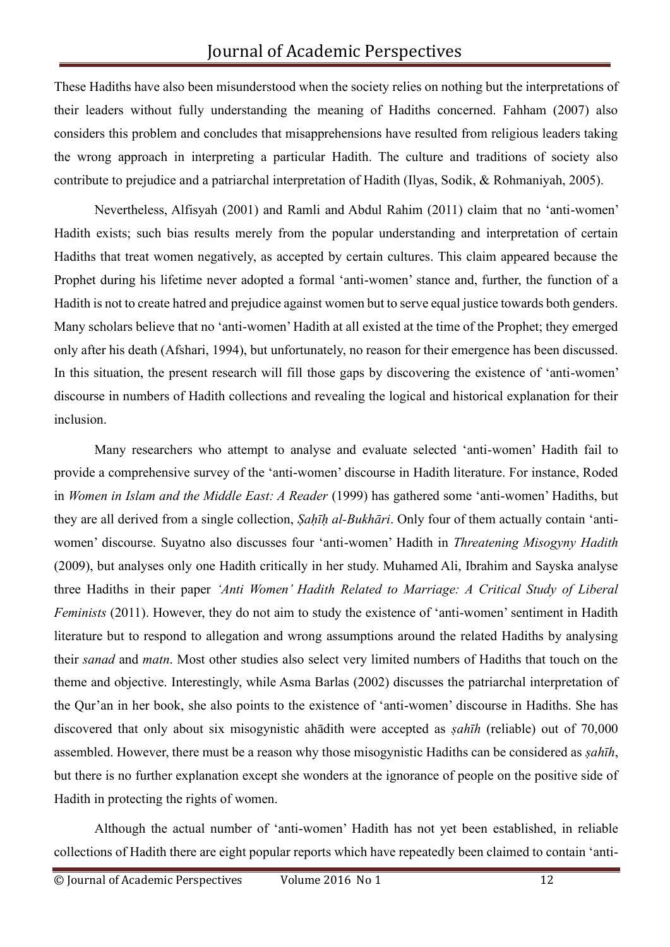These Hadiths have also been misunderstood when the society relies on nothing but the interpretations of their leaders without fully understanding the meaning of Hadiths concerned. Fahham (2007) also considers this problem and concludes that misapprehensions have resulted from religious leaders taking the wrong approach in interpreting a particular Hadith. The culture and traditions of society also contribute to prejudice and a patriarchal interpretation of Hadith (Ilyas, Sodik, & Rohmaniyah, 2005).

Nevertheless, Alfisyah (2001) and Ramli and Abdul Rahim (2011) claim that no 'anti-women' Hadith exists; such bias results merely from the popular understanding and interpretation of certain Hadiths that treat women negatively, as accepted by certain cultures. This claim appeared because the Prophet during his lifetime never adopted a formal 'anti-women' stance and, further, the function of a Hadith is not to create hatred and prejudice against women but to serve equal justice towards both genders. Many scholars believe that no 'anti-women' Hadith at all existed at the time of the Prophet; they emerged only after his death (Afshari, 1994), but unfortunately, no reason for their emergence has been discussed. In this situation, the present research will fill those gaps by discovering the existence of 'anti-women' discourse in numbers of Hadith collections and revealing the logical and historical explanation for their inclusion.

Many researchers who attempt to analyse and evaluate selected 'anti-women' Hadith fail to provide a comprehensive survey of the 'anti-women' discourse in Hadith literature. For instance, Roded in *Women in Islam and the Middle East: A Reader* (1999) has gathered some 'anti-women' Hadiths, but they are all derived from a single collection, *Ṣaḥīḥ al-Bukhāri*. Only four of them actually contain 'antiwomen' discourse. Suyatno also discusses four 'anti-women' Hadith in *Threatening Misogyny Hadith*  (2009), but analyses only one Hadith critically in her study. Muhamed Ali, Ibrahim and Sayska analyse three Hadiths in their paper *'Anti Women' Hadith Related to Marriage: A Critical Study of Liberal Feminists* (2011). However, they do not aim to study the existence of 'anti-women' sentiment in Hadith literature but to respond to allegation and wrong assumptions around the related Hadiths by analysing their *sanad* and *matn*. Most other studies also select very limited numbers of Hadiths that touch on the theme and objective. Interestingly, while Asma Barlas (2002) discusses the patriarchal interpretation of the Qur'an in her book, she also points to the existence of 'anti-women' discourse in Hadiths. She has discovered that only about six misogynistic ahādith were accepted as *ṣahīh* (reliable) out of 70,000 assembled. However, there must be a reason why those misogynistic Hadiths can be considered as *ṣahīh*, but there is no further explanation except she wonders at the ignorance of people on the positive side of Hadith in protecting the rights of women.

Although the actual number of 'anti-women' Hadith has not yet been established, in reliable collections of Hadith there are eight popular reports which have repeatedly been claimed to contain 'anti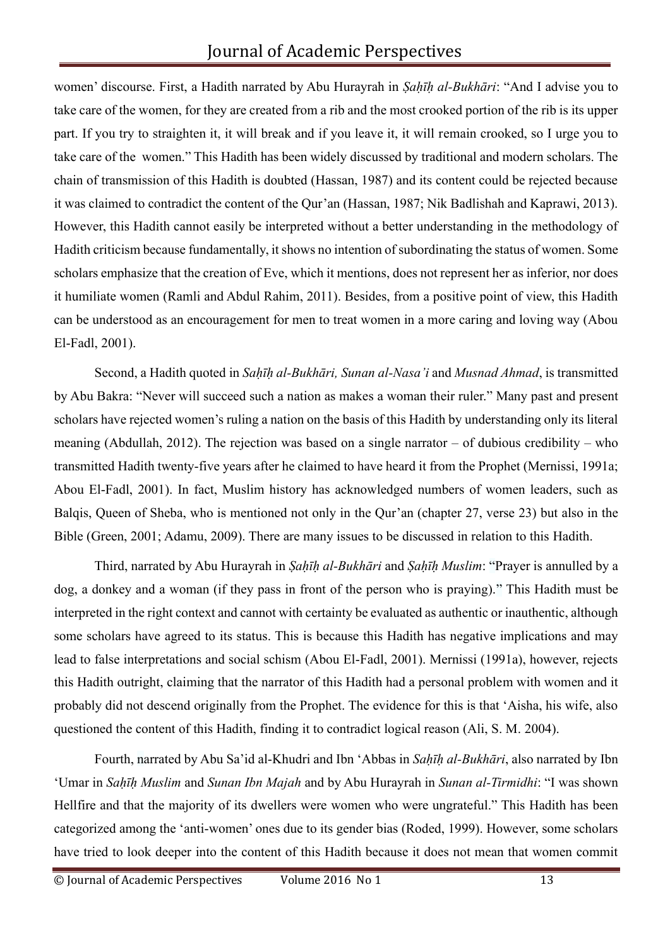women' discourse. First, a Hadith narrated by Abu Hurayrah in *Ṣaḥīḥ al-Bukhāri*: "And I advise you to take care of the women, for they are created from a rib and the most crooked portion of the rib is its upper part. If you try to straighten it, it will break and if you leave it, it will remain crooked, so I urge you to take care of the women." This Hadith has been widely discussed by traditional and modern scholars. The chain of transmission of this Hadith is doubted (Hassan, 1987) and its content could be rejected because it was claimed to contradict the content of the Qur'an (Hassan, 1987; Nik Badlishah and Kaprawi, 2013). However, this Hadith cannot easily be interpreted without a better understanding in the methodology of Hadith criticism because fundamentally, it shows no intention of subordinating the status of women. Some scholars emphasize that the creation of Eve, which it mentions, does not represent her as inferior, nor does it humiliate women (Ramli and Abdul Rahim, 2011). Besides, from a positive point of view, this Hadith can be understood as an encouragement for men to treat women in a more caring and loving way (Abou El-Fadl, 2001).

Second, a Hadith quoted in *Saḥīḥ al-Bukhāri, Sunan al-Nasa'i* and *Musnad Ahmad*, is transmitted by Abu Bakra: "Never will succeed such a nation as makes a woman their ruler." Many past and present scholars have rejected women's ruling a nation on the basis of this Hadith by understanding only its literal meaning (Abdullah, 2012). The rejection was based on a single narrator – of dubious credibility – who transmitted Hadith twenty-five years after he claimed to have heard it from the Prophet (Mernissi, 1991a; Abou El-Fadl, 2001). In fact, Muslim history has acknowledged numbers of women leaders, such as Balqis, Queen of Sheba, who is mentioned not only in the Qur'an (chapter 27, verse 23) but also in the Bible (Green, 2001; Adamu, 2009). There are many issues to be discussed in relation to this Hadith.

Third, narrated by Abu Hurayrah in *Ṣaḥīḥ al-Bukhāri* and *Ṣaḥīḥ Muslim*: "Prayer is annulled by a dog, a donkey and a woman (if they pass in front of the person who is praying)." This Hadith must be interpreted in the right context and cannot with certainty be evaluated as authentic or inauthentic, although some scholars have agreed to its status. This is because this Hadith has negative implications and may lead to false interpretations and social schism (Abou El-Fadl, 2001). Mernissi (1991a), however, rejects this Hadith outright, claiming that the narrator of this Hadith had a personal problem with women and it probably did not descend originally from the Prophet. The evidence for this is that 'Aisha, his wife, also questioned the content of this Hadith, finding it to contradict logical reason (Ali, S. M. 2004).

Fourth, narrated by Abu Sa'id al-Khudri and Ibn 'Abbas in *Saḥīḥ al-Bukhāri*, also narrated by Ibn 'Umar in *Saḥīḥ Muslim* and *Sunan Ibn Majah* and by Abu Hurayrah in *Sunan al-Tirmidhi*: "I was shown Hellfire and that the majority of its dwellers were women who were ungrateful." This Hadith has been categorized among the 'anti-women' ones due to its gender bias (Roded, 1999). However, some scholars have tried to look deeper into the content of this Hadith because it does not mean that women commit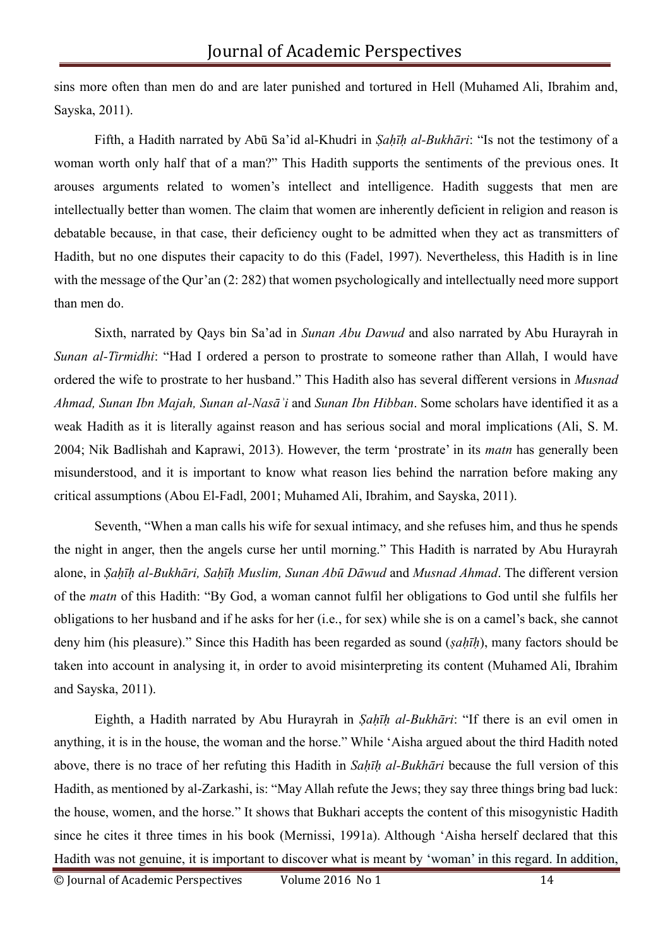sins more often than men do and are later punished and tortured in Hell (Muhamed Ali, Ibrahim and, Sayska, 2011).

Fifth, a Hadith narrated by Abū Sa'id al-Khudri in *Ṣaḥīḥ al-Bukhāri*: "Is not the testimony of a woman worth only half that of a man?" This Hadith supports the sentiments of the previous ones. It arouses arguments related to women's intellect and intelligence. Hadith suggests that men are intellectually better than women. The claim that women are inherently deficient in religion and reason is debatable because, in that case, their deficiency ought to be admitted when they act as transmitters of Hadith, but no one disputes their capacity to do this (Fadel, 1997). Nevertheless, this Hadith is in line with the message of the Qur'an (2: 282) that women psychologically and intellectually need more support than men do.

Sixth, narrated by Qays bin Sa'ad in *Sunan Abu Dawud* and also narrated by Abu Hurayrah in *Sunan al-Tirmidhi*: "Had I ordered a person to prostrate to someone rather than Allah, I would have ordered the wife to prostrate to her husband." This Hadith also has several different versions in *Musnad Ahmad, Sunan Ibn Majah, Sunan al-Nasāʾi* and *Sunan Ibn Hibban*. Some scholars have identified it as a weak Hadith as it is literally against reason and has serious social and moral implications (Ali, S. M. 2004; Nik Badlishah and Kaprawi, 2013). However, the term 'prostrate' in its *matn* has generally been misunderstood, and it is important to know what reason lies behind the narration before making any critical assumptions (Abou El-Fadl, 2001; Muhamed Ali, Ibrahim, and Sayska, 2011).

Seventh, "When a man calls his wife for sexual intimacy, and she refuses him, and thus he spends the night in anger, then the angels curse her until morning." This Hadith is narrated by Abu Hurayrah alone, in *Ṣaḥīḥ al-Bukhāri, Saḥīḥ Muslim, Sunan Abū Dāwud* and *Musnad Ahmad*. The different version of the *matn* of this Hadith: "By God, a woman cannot fulfil her obligations to God until she fulfils her obligations to her husband and if he asks for her (i.e., for sex) while she is on a camel's back, she cannot deny him (his pleasure)." Since this Hadith has been regarded as sound (*ṣaḥīḥ*), many factors should be taken into account in analysing it, in order to avoid misinterpreting its content (Muhamed Ali, Ibrahim and Sayska, 2011).

Eighth, a Hadith narrated by Abu Hurayrah in *Ṣaḥīḥ al-Bukhāri*: "If there is an evil omen in anything, it is in the house, the woman and the horse." While 'Aisha argued about the third Hadith noted above, there is no trace of her refuting this Hadith in *Saḥīḥ al-Bukhāri* because the full version of this Hadith, as mentioned by al-Zarkashi, is: "May Allah refute the Jews; they say three things bring bad luck: the house, women, and the horse." It shows that Bukhari accepts the content of this misogynistic Hadith since he cites it three times in his book (Mernissi, 1991a). Although 'Aisha herself declared that this Hadith was not genuine, it is important to discover what is meant by 'woman' in this regard. In addition,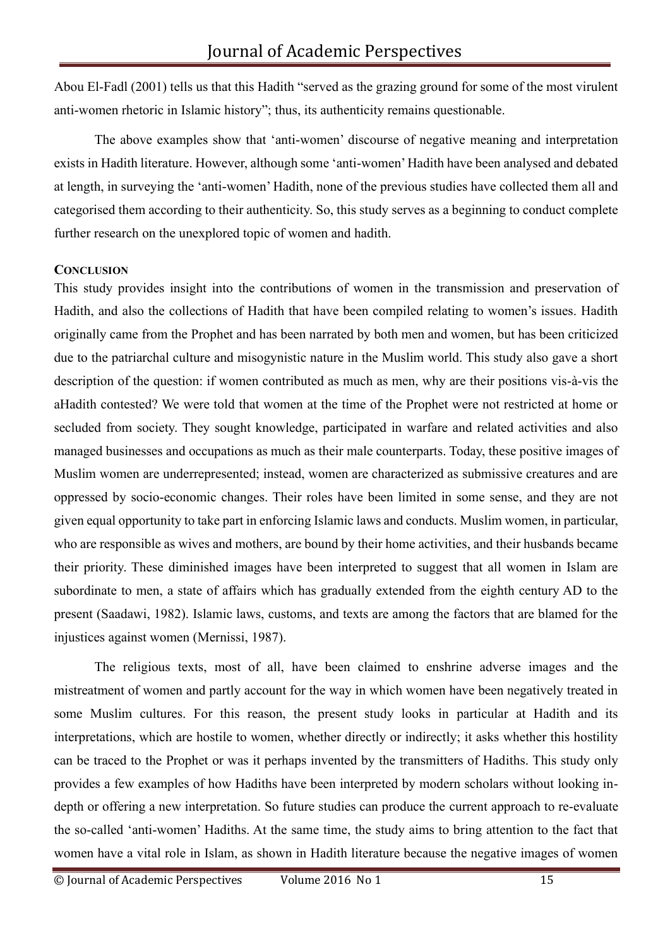Abou El-Fadl (2001) tells us that this Hadith "served as the grazing ground for some of the most virulent anti-women rhetoric in Islamic history"; thus, its authenticity remains questionable.

The above examples show that 'anti-women' discourse of negative meaning and interpretation exists in Hadith literature. However, although some 'anti-women' Hadith have been analysed and debated at length, in surveying the 'anti-women' Hadith, none of the previous studies have collected them all and categorised them according to their authenticity. So, this study serves as a beginning to conduct complete further research on the unexplored topic of women and hadith.

#### **CONCLUSION**

This study provides insight into the contributions of women in the transmission and preservation of Hadith, and also the collections of Hadith that have been compiled relating to women's issues. Hadith originally came from the Prophet and has been narrated by both men and women, but has been criticized due to the patriarchal culture and misogynistic nature in the Muslim world. This study also gave a short description of the question: if women contributed as much as men, why are their positions vis-à-vis the aHadith contested? We were told that women at the time of the Prophet were not restricted at home or secluded from society. They sought knowledge, participated in warfare and related activities and also managed businesses and occupations as much as their male counterparts. Today, these positive images of Muslim women are underrepresented; instead, women are characterized as submissive creatures and are oppressed by socio-economic changes. Their roles have been limited in some sense, and they are not given equal opportunity to take part in enforcing Islamic laws and conducts. Muslim women, in particular, who are responsible as wives and mothers, are bound by their home activities, and their husbands became their priority. These diminished images have been interpreted to suggest that all women in Islam are subordinate to men, a state of affairs which has gradually extended from the eighth century AD to the present (Saadawi, 1982). Islamic laws, customs, and texts are among the factors that are blamed for the injustices against women (Mernissi, 1987).

The religious texts, most of all, have been claimed to enshrine adverse images and the mistreatment of women and partly account for the way in which women have been negatively treated in some Muslim cultures. For this reason, the present study looks in particular at Hadith and its interpretations, which are hostile to women, whether directly or indirectly; it asks whether this hostility can be traced to the Prophet or was it perhaps invented by the transmitters of Hadiths. This study only provides a few examples of how Hadiths have been interpreted by modern scholars without looking indepth or offering a new interpretation. So future studies can produce the current approach to re-evaluate the so-called 'anti-women' Hadiths. At the same time, the study aims to bring attention to the fact that women have a vital role in Islam, as shown in Hadith literature because the negative images of women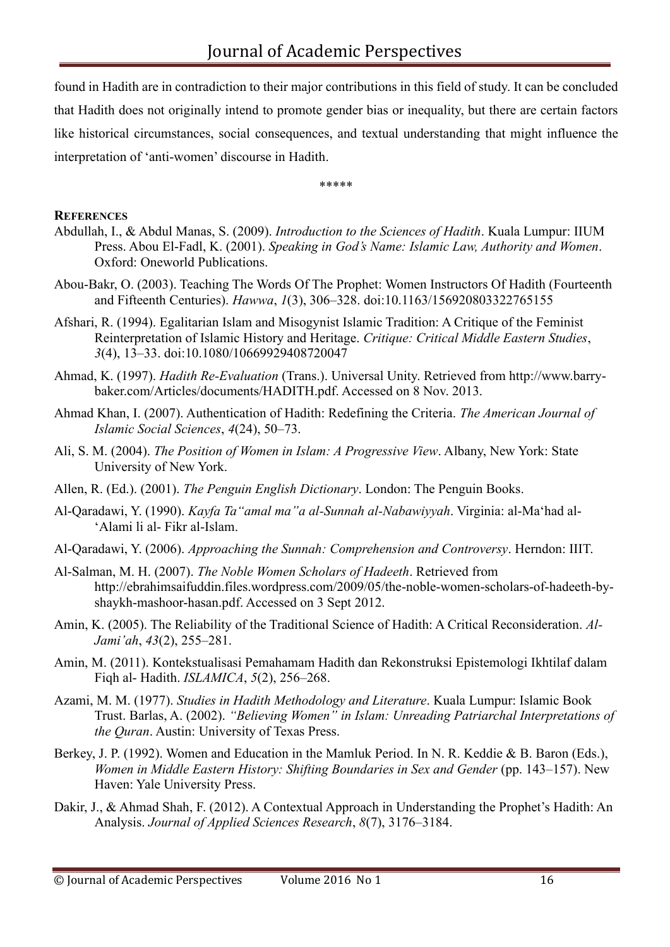found in Hadith are in contradiction to their major contributions in this field of study. It can be concluded that Hadith does not originally intend to promote gender bias or inequality, but there are certain factors like historical circumstances, social consequences, and textual understanding that might influence the interpretation of 'anti-women' discourse in Hadith.

\*\*\*\*\*

#### **REFERENCES**

- Abdullah, I., & Abdul Manas, S. (2009). *Introduction to the Sciences of Hadith*. Kuala Lumpur: IIUM Press. Abou El-Fadl, K. (2001). *Speaking in God's Name: Islamic Law, Authority and Women*. Oxford: Oneworld Publications.
- Abou-Bakr, O. (2003). Teaching The Words Of The Prophet: Women Instructors Of Hadith (Fourteenth and Fifteenth Centuries). *Hawwa*, *1*(3), 306–328. doi:10.1163/156920803322765155
- Afshari, R. (1994). Egalitarian Islam and Misogynist Islamic Tradition: A Critique of the Feminist Reinterpretation of Islamic History and Heritage. *Critique: Critical Middle Eastern Studies*, *3*(4), 13–33. doi:10.1080/10669929408720047
- Ahmad, K. (1997). *Hadith Re-Evaluation* (Trans.). Universal Unity. Retrieved from http://www.barrybaker.com/Articles/documents/HADITH.pdf. Accessed on 8 Nov. 2013.
- Ahmad Khan, I. (2007). Authentication of Hadith: Redefining the Criteria. *The American Journal of Islamic Social Sciences*, *4*(24), 50–73.
- Ali, S. M. (2004). *The Position of Women in Islam: A Progressive View*. Albany, New York: State University of New York.
- Allen, R. (Ed.). (2001). *The Penguin English Dictionary*. London: The Penguin Books.
- Al-Qaradawi, Y. (1990). *Kayfa Ta"amal ma"a al-Sunnah al-Nabawiyyah*. Virginia: al-Ma'had al- 'Alami li al- Fikr al-Islam.
- Al-Qaradawi, Y. (2006). *Approaching the Sunnah: Comprehension and Controversy*. Herndon: IIIT.
- Al-Salman, M. H. (2007). *The Noble Women Scholars of Hadeeth*. Retrieved fro[m](http://ebrahimsaifuddin.files.wordpress.com/2009/05/the-noble-women-scholars-of-hadeeth-by-) [http://ebrahimsaifuddin.files.wordpress.com/2009/05/the-noble-women-scholars-of-hadeeth-by](http://ebrahimsaifuddin.files.wordpress.com/2009/05/the-noble-women-scholars-of-hadeeth-by-)shaykh-mashoor-hasan.pdf. Accessed on 3 Sept 2012.
- Amin, K. (2005). The Reliability of the Traditional Science of Hadith: A Critical Reconsideration. *Al-Jami'ah*, *43*(2), 255–281.
- Amin, M. (2011). Kontekstualisasi Pemahamam Hadith dan Rekonstruksi Epistemologi Ikhtilaf dalam Fiqh al- Hadith. *ISLAMICA*, *5*(2), 256–268.
- Azami, M. M. (1977). *Studies in Hadith Methodology and Literature*. Kuala Lumpur: Islamic Book Trust. Barlas, A. (2002). *"Believing Women" in Islam: Unreading Patriarchal Interpretations of the Quran*. Austin: University of Texas Press.
- Berkey, J. P. (1992). Women and Education in the Mamluk Period. In N. R. Keddie & B. Baron (Eds.), *Women in Middle Eastern History: Shifting Boundaries in Sex and Gender (pp. 143–157).* New Haven: Yale University Press.
- Dakir, J., & Ahmad Shah, F. (2012). A Contextual Approach in Understanding the Prophet's Hadith: An Analysis. *Journal of Applied Sciences Research*, *8*(7), 3176–3184.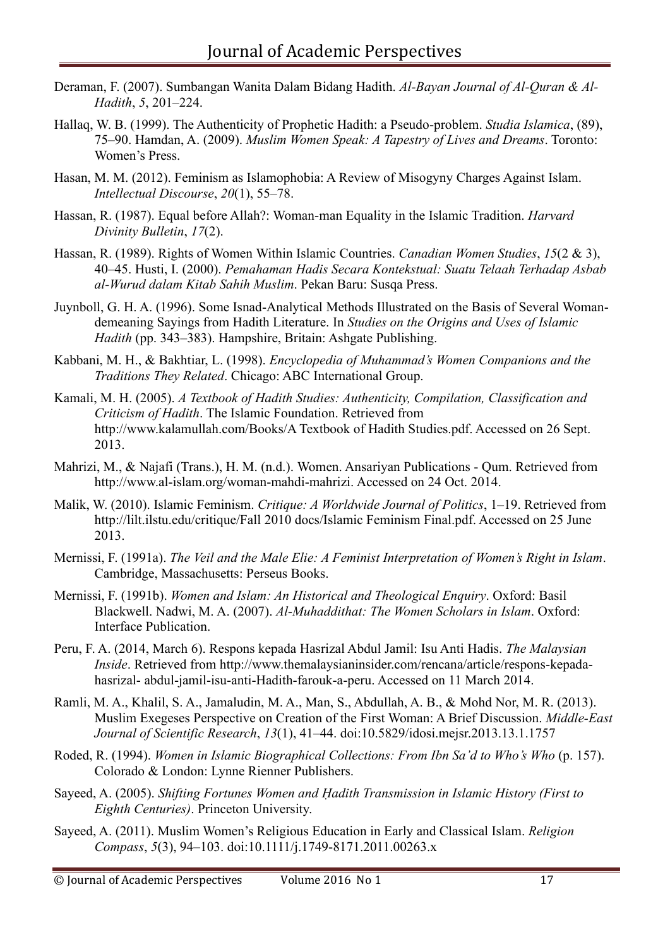- Deraman, F. (2007). Sumbangan Wanita Dalam Bidang Hadith. *Al-Bayan Journal of Al-Quran & Al-Hadith*, *5*, 201–224.
- Hallaq, W. B. (1999). The Authenticity of Prophetic Hadith: a Pseudo-problem. *Studia Islamica*, (89), 75–90. Hamdan, A. (2009). *Muslim Women Speak: A Tapestry of Lives and Dreams*. Toronto: Women's Press.
- Hasan, M. M. (2012). Feminism as Islamophobia: A Review of Misogyny Charges Against Islam. *Intellectual Discourse*, *20*(1), 55–78.
- Hassan, R. (1987). Equal before Allah?: Woman-man Equality in the Islamic Tradition. *Harvard Divinity Bulletin*, *17*(2).
- Hassan, R. (1989). Rights of Women Within Islamic Countries. *Canadian Women Studies*, *15*(2 & 3), 40–45. Husti, I. (2000). *Pemahaman Hadis Secara Kontekstual: Suatu Telaah Terhadap Asbab al-Wurud dalam Kitab Sahih Muslim*. Pekan Baru: Susqa Press.
- Juynboll, G. H. A. (1996). Some Isnad-Analytical Methods Illustrated on the Basis of Several Womandemeaning Sayings from Hadith Literature. In *Studies on the Origins and Uses of Islamic Hadith* (pp. 343–383). Hampshire, Britain: Ashgate Publishing.
- Kabbani, M. H., & Bakhtiar, L. (1998). *Encyclopedia of Muhammad's Women Companions and the Traditions They Related*. Chicago: ABC International Group.
- Kamali, M. H. (2005). *A Textbook of Hadith Studies: Authenticity, Compilation, Classification and Criticism of Hadith*. The Islamic Foundation. Retrieved from [http://www.kalamullah.com/Books/A T](http://www.kalamullah.com/Books/A)extbook of Hadith Studies.pdf. Accessed on 26 Sept. 2013.
- Mahrizi, M., & Najafi (Trans.), H. M. (n.d.). Women. Ansariyan Publications Qum. Retrieved fro[m](http://www.al-islam.org/woman-mahdi-mahrizi) [http://www.al-islam.org/woman-mahdi-mahrizi. A](http://www.al-islam.org/woman-mahdi-mahrizi)ccessed on 24 Oct. 2014.
- Malik, W. (2010). Islamic Feminism. *Critique: A Worldwide Journal of Politics*, 1–19. Retrieved fro[m](http://lilt.ilstu.edu/critique/Fall) [http://lilt.ilstu.edu/critique/Fall 2](http://lilt.ilstu.edu/critique/Fall)010 docs/Islamic Feminism Final.pdf. Accessed on 25 June 2013.
- Mernissi, F. (1991a). *The Veil and the Male Elie: A Feminist Interpretation of Women's Right in Islam*. Cambridge, Massachusetts: Perseus Books.
- Mernissi, F. (1991b). *Women and Islam: An Historical and Theological Enquiry*. Oxford: Basil Blackwell. Nadwi, M. A. (2007). *Al-Muhaddithat: The Women Scholars in Islam*. Oxford: Interface Publication.
- Peru, F. A. (2014, March 6). Respons kepada Hasrizal Abdul Jamil: Isu Anti Hadis. *The Malaysian Inside*. Retrieved from [http://www.themalaysianinsider.com/rencana/article/respons-kepada](http://www.themalaysianinsider.com/rencana/article/respons-kepada-hasrizal-)[hasrizal-](http://www.themalaysianinsider.com/rencana/article/respons-kepada-hasrizal-) abdul-jamil-isu-anti-Hadith-farouk-a-peru. Accessed on 11 March 2014.
- Ramli, M. A., Khalil, S. A., Jamaludin, M. A., Man, S., Abdullah, A. B., & Mohd Nor, M. R. (2013). Muslim Exegeses Perspective on Creation of the First Woman: A Brief Discussion. *Middle-East Journal of Scientific Research*, *13*(1), 41–44. doi:10.5829/idosi.mejsr.2013.13.1.1757
- Roded, R. (1994). *Women in Islamic Biographical Collections: From Ibn Sa'd to Who's Who* (p. 157). Colorado & London: Lynne Rienner Publishers.
- Sayeed, A. (2005). *Shifting Fortunes Women and Ḥadith Transmission in Islamic History (First to Eighth Centuries)*. Princeton University.
- Sayeed, A. (2011). Muslim Women's Religious Education in Early and Classical Islam. *Religion Compass*, *5*(3), 94–103. doi:10.1111/j.1749-8171.2011.00263.x